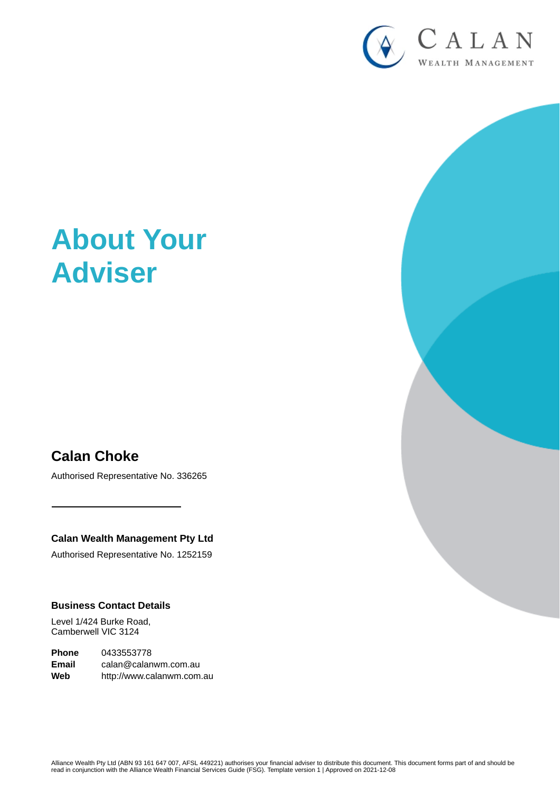

# **About Your Adviser**

# **Calan Choke**

Authorised Representative No. 336265

**Calan Wealth Management Pty Ltd**

Authorised Representative No. 1252159

#### **Business Contact Details**

Level 1/424 Burke Road, Camberwell VIC 3124

**Phone** 0433553778 **Email** calan@calanwm.com.au **Web** http://www.calanwm.com.au